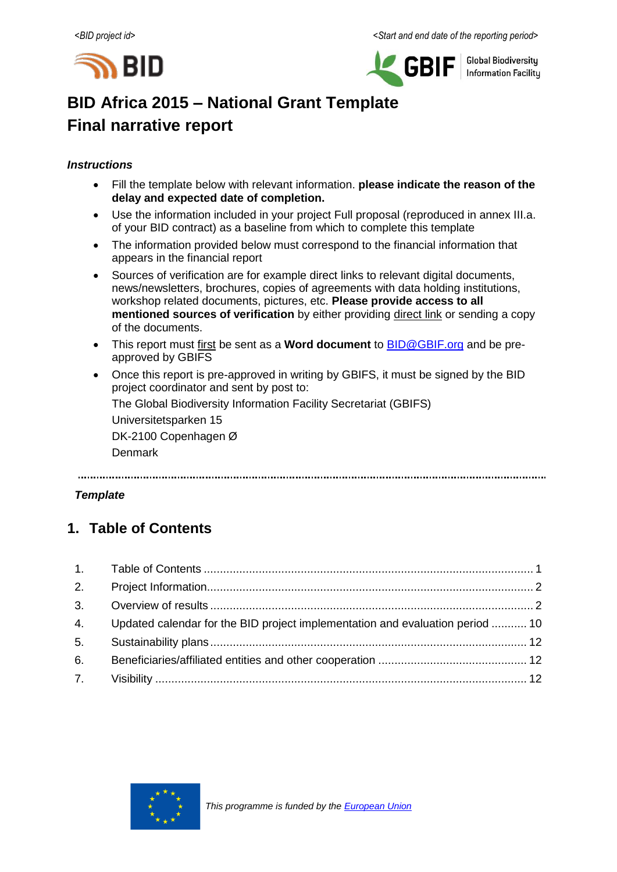



**Global Biodiversity Information Facilitu** 

# **BID Africa 2015 – National Grant Template Final narrative report**

#### *Instructions*

- Fill the template below with relevant information. **please indicate the reason of the delay and expected date of completion.**
- Use the information included in your project Full proposal (reproduced in annex III.a. of your BID contract) as a baseline from which to complete this template
- The information provided below must correspond to the financial information that appears in the financial report
- Sources of verification are for example direct links to relevant digital documents, news/newsletters, brochures, copies of agreements with data holding institutions, workshop related documents, pictures, etc. **Please provide access to all mentioned sources of verification** by either providing direct link or sending a copy of the documents.
- This report must first be sent as a **Word document** to **BID@GBIF.org** and be preapproved by GBIFS
- Once this report is pre-approved in writing by GBIFS, it must be signed by the BID project coordinator and sent by post to:

The Global Biodiversity Information Facility Secretariat (GBIFS)

Universitetsparken 15 DK-2100 Copenhagen Ø

Denmark

#### *Template*

# <span id="page-0-0"></span>**1. Table of Contents**

|    | 4. Updated calendar for the BID project implementation and evaluation period  10 |  |
|----|----------------------------------------------------------------------------------|--|
| 5. |                                                                                  |  |
| 6. |                                                                                  |  |
|    |                                                                                  |  |

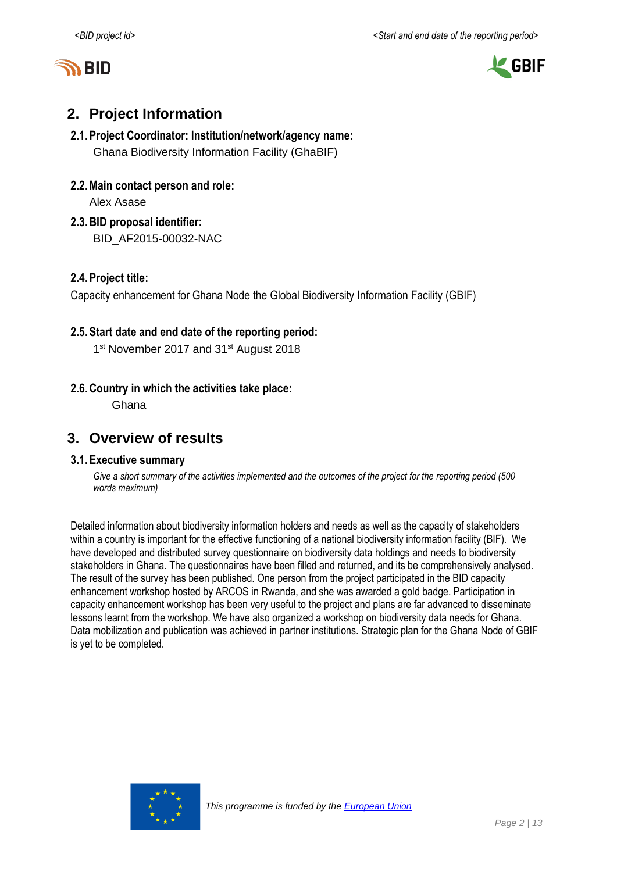



# <span id="page-1-0"></span>**2. Project Information**

#### **2.1.Project Coordinator: Institution/network/agency name:** Ghana Biodiversity Information Facility (GhaBIF)

**2.2.Main contact person and role:**

Alex Asase

**2.3.BID proposal identifier:** BID\_AF2015-00032-NAC

#### **2.4.Project title:**

Capacity enhancement for Ghana Node the Global Biodiversity Information Facility (GBIF)

#### **2.5.Start date and end date of the reporting period:**

1<sup>st</sup> November 2017 and 31<sup>st</sup> August 2018

#### **2.6.Country in which the activities take place:**

Ghana

### <span id="page-1-1"></span>**3. Overview of results**

#### **3.1.Executive summary**

Give a short summary of the activities implemented and the outcomes of the project for the *reporting period* (500 *words maximum)*

Detailed information about biodiversity information holders and needs as well as the capacity of stakeholders within a country is important for the effective functioning of a national biodiversity information facility (BIF). We have developed and distributed survey questionnaire on biodiversity data holdings and needs to biodiversity stakeholders in Ghana. The questionnaires have been filled and returned, and its be comprehensively analysed. The result of the survey has been published. One person from the project participated in the BID capacity enhancement workshop hosted by ARCOS in Rwanda, and she was awarded a gold badge. Participation in capacity enhancement workshop has been very useful to the project and plans are far advanced to disseminate lessons learnt from the workshop. We have also organized a workshop on biodiversity data needs for Ghana. Data mobilization and publication was achieved in partner institutions. Strategic plan for the Ghana Node of GBIF is yet to be completed.

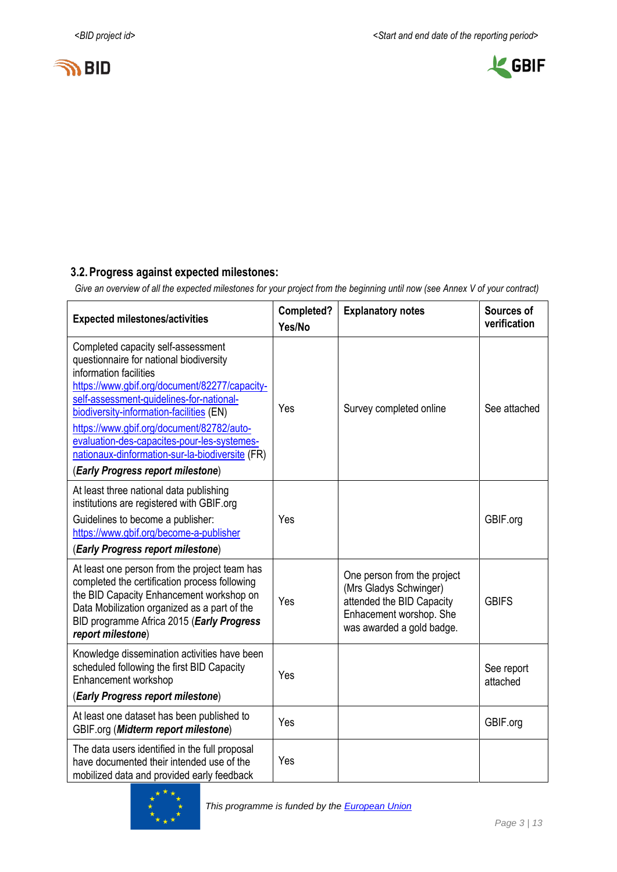



### **3.2.Progress against expected milestones:**

*Give an overview of all the expected milestones for your project from the beginning until now (see Annex V of your contract)*

| <b>Expected milestones/activities</b>                                                                                                                                                                                                                                                                                                                                                                                                | Completed?<br>Yes/No | <b>Explanatory notes</b>                                                                                                                   | Sources of<br>verification |
|--------------------------------------------------------------------------------------------------------------------------------------------------------------------------------------------------------------------------------------------------------------------------------------------------------------------------------------------------------------------------------------------------------------------------------------|----------------------|--------------------------------------------------------------------------------------------------------------------------------------------|----------------------------|
| Completed capacity self-assessment<br>questionnaire for national biodiversity<br>information facilities<br>https://www.gbif.org/document/82277/capacity-<br>self-assessment-guidelines-for-national-<br>biodiversity-information-facilities (EN)<br>https://www.gbif.org/document/82782/auto-<br>evaluation-des-capacites-pour-les-systemes-<br>nationaux-dinformation-sur-la-biodiversite (FR)<br>(Early Progress report milestone) | Yes                  | Survey completed online                                                                                                                    | See attached               |
| At least three national data publishing<br>institutions are registered with GBIF.org<br>Guidelines to become a publisher:<br>https://www.gbif.org/become-a-publisher<br>(Early Progress report milestone)                                                                                                                                                                                                                            | Yes                  |                                                                                                                                            | GBIF.org                   |
| At least one person from the project team has<br>completed the certification process following<br>the BID Capacity Enhancement workshop on<br>Data Mobilization organized as a part of the<br>BID programme Africa 2015 (Early Progress<br>report milestone)                                                                                                                                                                         | Yes                  | One person from the project<br>(Mrs Gladys Schwinger)<br>attended the BID Capacity<br>Enhacement worshop. She<br>was awarded a gold badge. | <b>GBIFS</b>               |
| Knowledge dissemination activities have been<br>scheduled following the first BID Capacity<br>Enhancement workshop<br>(Early Progress report milestone)                                                                                                                                                                                                                                                                              | Yes                  |                                                                                                                                            | See report<br>attached     |
| At least one dataset has been published to<br>GBIF.org (Midterm report milestone)                                                                                                                                                                                                                                                                                                                                                    | Yes                  |                                                                                                                                            | GBIF.org                   |
| The data users identified in the full proposal<br>have documented their intended use of the<br>mobilized data and provided early feedback                                                                                                                                                                                                                                                                                            | Yes                  |                                                                                                                                            |                            |

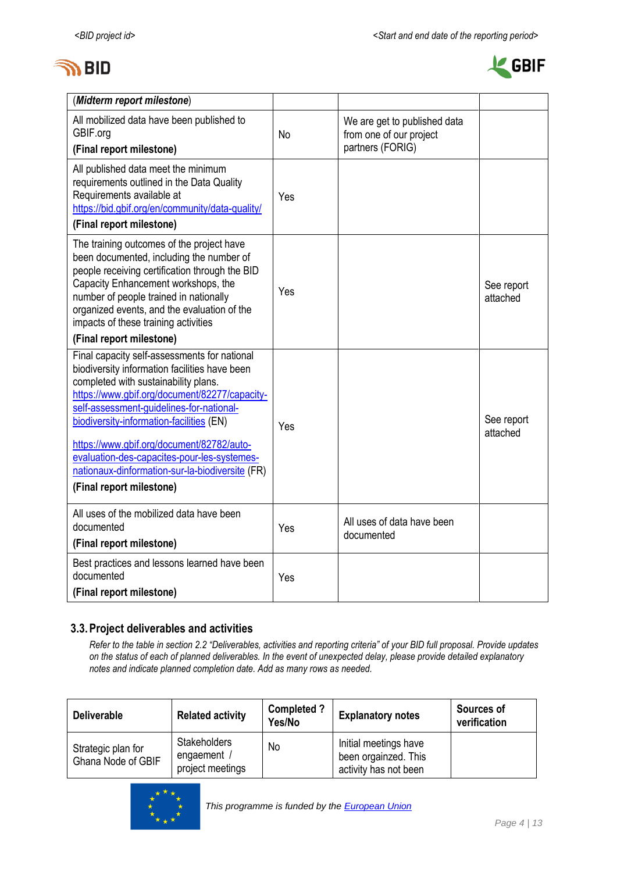



| (Midterm report milestone)                                                                                                                                                                                                                                                                                                                                                                                                                                |           |                                                         |                        |
|-----------------------------------------------------------------------------------------------------------------------------------------------------------------------------------------------------------------------------------------------------------------------------------------------------------------------------------------------------------------------------------------------------------------------------------------------------------|-----------|---------------------------------------------------------|------------------------|
| All mobilized data have been published to<br>GBIF.org                                                                                                                                                                                                                                                                                                                                                                                                     | <b>No</b> | We are get to published data<br>from one of our project |                        |
| (Final report milestone)                                                                                                                                                                                                                                                                                                                                                                                                                                  |           | partners (FORIG)                                        |                        |
| All published data meet the minimum<br>requirements outlined in the Data Quality<br>Requirements available at<br>https://bid.gbif.org/en/community/data-quality/<br>(Final report milestone)                                                                                                                                                                                                                                                              | Yes       |                                                         |                        |
| The training outcomes of the project have<br>been documented, including the number of<br>people receiving certification through the BID<br>Capacity Enhancement workshops, the<br>number of people trained in nationally<br>organized events, and the evaluation of the<br>impacts of these training activities<br>(Final report milestone)                                                                                                               | Yes       |                                                         | See report<br>attached |
| Final capacity self-assessments for national<br>biodiversity information facilities have been<br>completed with sustainability plans.<br>https://www.gbif.org/document/82277/capacity-<br>self-assessment-guidelines-for-national-<br>biodiversity-information-facilities (EN)<br>https://www.gbif.org/document/82782/auto-<br>evaluation-des-capacites-pour-les-systemes-<br>nationaux-dinformation-sur-la-biodiversite (FR)<br>(Final report milestone) | Yes       |                                                         | See report<br>attached |
| All uses of the mobilized data have been<br>documented<br>(Final report milestone)                                                                                                                                                                                                                                                                                                                                                                        | Yes       | All uses of data have been<br>documented                |                        |
| Best practices and lessons learned have been<br>documented<br>(Final report milestone)                                                                                                                                                                                                                                                                                                                                                                    | Yes       |                                                         |                        |

### **3.3.Project deliverables and activities**

*Refer to the table in section 2.2 "Deliverables, activities and reporting criteria" of your BID full proposal. Provide updates on the status of each of planned deliverables. In the event of unexpected delay, please provide detailed explanatory notes and indicate planned completion date. Add as many rows as needed.*

| <b>Deliverable</b>                       | <b>Related activity</b>                                | <b>Completed?</b><br>Yes/No | <b>Explanatory notes</b>                                               | Sources of<br>verification |
|------------------------------------------|--------------------------------------------------------|-----------------------------|------------------------------------------------------------------------|----------------------------|
| Strategic plan for<br>Ghana Node of GBIF | <b>Stakeholders</b><br>engaement /<br>project meetings | No                          | Initial meetings have<br>been orgainzed. This<br>activity has not been |                            |

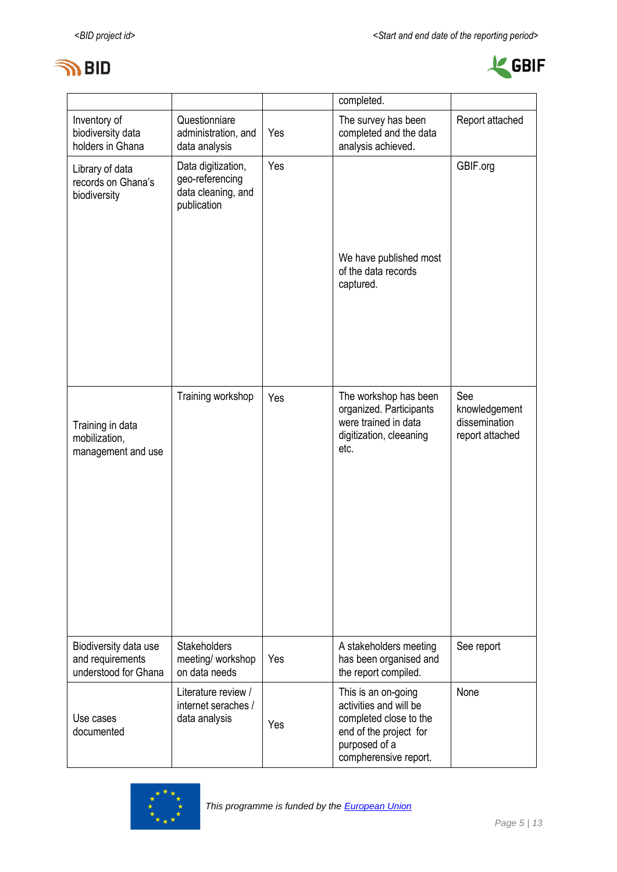



|                                                                   |                                                                            |     | completed.                                                                                                                                  |                                                          |
|-------------------------------------------------------------------|----------------------------------------------------------------------------|-----|---------------------------------------------------------------------------------------------------------------------------------------------|----------------------------------------------------------|
| Inventory of<br>biodiversity data<br>holders in Ghana             | Questionniare<br>administration, and<br>data analysis                      | Yes | The survey has been<br>completed and the data<br>analysis achieved.                                                                         | Report attached                                          |
| Library of data<br>records on Ghana's<br>biodiversity             | Data digitization,<br>geo-referencing<br>data cleaning, and<br>publication | Yes | We have published most<br>of the data records<br>captured.                                                                                  | GBIF.org                                                 |
| Training in data<br>mobilization,<br>management and use           | Training workshop                                                          | Yes | The workshop has been<br>organized. Participants<br>were trained in data<br>digitization, cleeaning<br>etc.                                 | See<br>knowledgement<br>dissemination<br>report attached |
| Biodiversity data use<br>and requirements<br>understood for Ghana | Stakeholders<br>meeting/ workshop<br>on data needs                         | Yes | A stakeholders meeting<br>has been organised and<br>the report compiled.                                                                    | See report                                               |
| Use cases<br>documented                                           | Literature review /<br>internet seraches /<br>data analysis                | Yes | This is an on-going<br>activities and will be<br>completed close to the<br>end of the project for<br>purposed of a<br>compherensive report. | None                                                     |

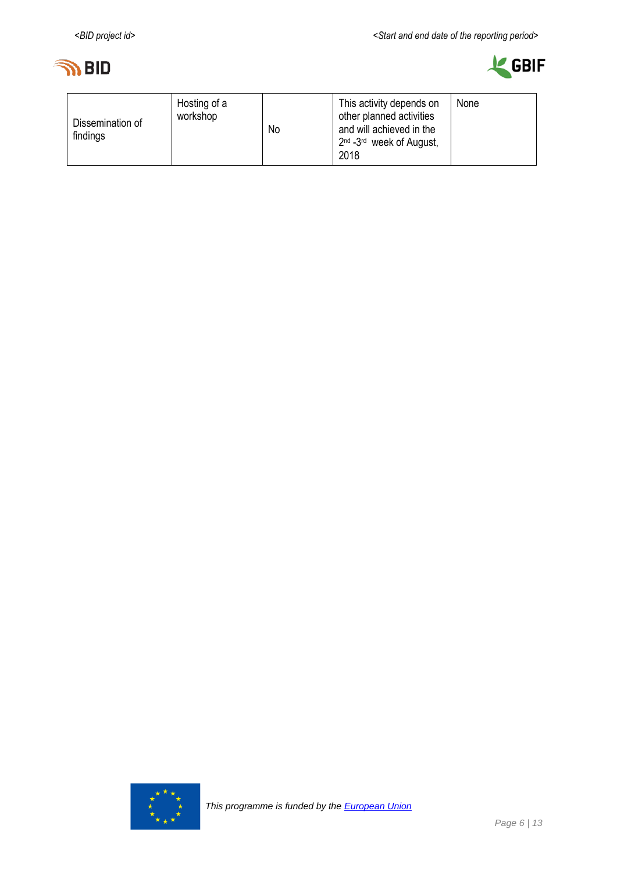



| Dissemination of<br>findings | Hosting of a<br>workshop | No | This activity depends on<br>other planned activities<br>and will achieved in the<br>2 <sup>nd</sup> -3 <sup>rd</sup> week of August,<br>2018 | None |
|------------------------------|--------------------------|----|----------------------------------------------------------------------------------------------------------------------------------------------|------|
|------------------------------|--------------------------|----|----------------------------------------------------------------------------------------------------------------------------------------------|------|

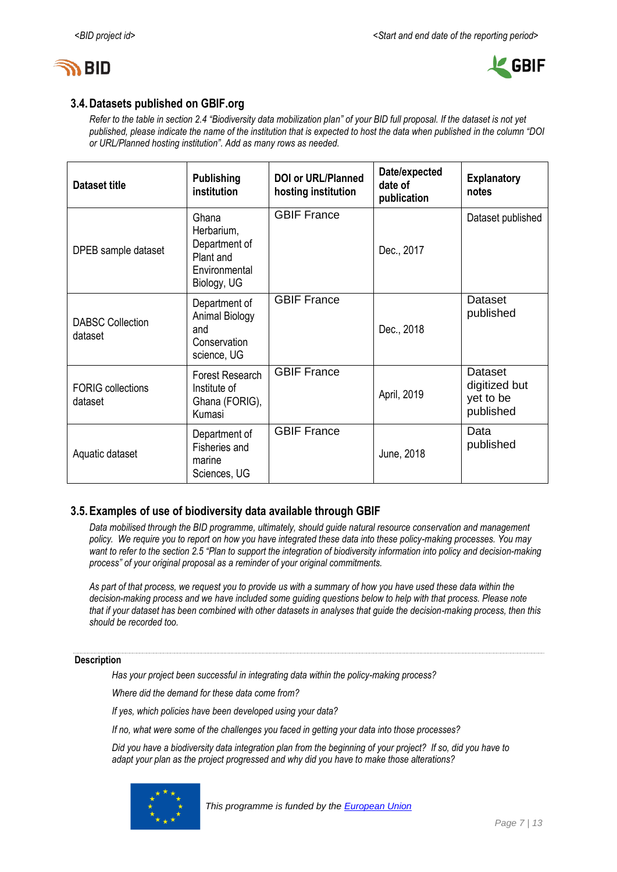



#### **3.4.Datasets published on GBIF.org**

*Refer to the table in section 2.4 "Biodiversity data mobilization plan" of your BID full proposal. If the dataset is not yet published, please indicate the name of the institution that is expected to host the data when published in the column "DOI or URL/Planned hosting institution". Add as many rows as needed.*

| <b>Dataset title</b>                | <b>Publishing</b><br>institution                                                  | <b>DOI or URL/Planned</b><br>hosting institution | Date/expected<br>date of<br>publication | <b>Explanatory</b><br>notes                        |
|-------------------------------------|-----------------------------------------------------------------------------------|--------------------------------------------------|-----------------------------------------|----------------------------------------------------|
| DPEB sample dataset                 | Ghana<br>Herbarium,<br>Department of<br>Plant and<br>Environmental<br>Biology, UG | <b>GBIF France</b>                               | Dec., 2017                              | Dataset published                                  |
| <b>DABSC Collection</b><br>dataset  | Department of<br><b>Animal Biology</b><br>and<br>Conservation<br>science, UG      | <b>GBIF France</b>                               | Dec., 2018                              | Dataset<br>published                               |
| <b>FORIG</b> collections<br>dataset | Forest Research<br>Institute of<br>Ghana (FORIG),<br>Kumasi                       | <b>GBIF France</b>                               | April, 2019                             | Dataset<br>digitized but<br>yet to be<br>published |
| Aquatic dataset                     | Department of<br>Fisheries and<br>marine<br>Sciences, UG                          | <b>GBIF France</b>                               | June, 2018                              | Data<br>published                                  |

#### **3.5.Examples of use of biodiversity data available through GBIF**

*Data mobilised through the BID programme, ultimately, should guide natural resource conservation and management policy. We require you to report on how you have integrated these data into these policy-making processes. You may want to refer to the section 2.5 "Plan to support the integration of biodiversity information into policy and decision-making process" of your original proposal as a reminder of your original commitments.* 

*As part of that process, we request you to provide us with a summary of how you have used these data within the decision-making process and we have included some guiding questions below to help with that process. Please note that if your dataset has been combined with other datasets in analyses that guide the decision-making process, then this should be recorded too.* 

#### **Description**

*Has your project been successful in integrating data within the policy-making process?* 

*Where did the demand for these data come from?* 

*If yes, which policies have been developed using your data?* 

*If no, what were some of the challenges you faced in getting your data into those processes?*

*Did you have a biodiversity data integration plan from the beginning of your project? If so, did you have to adapt your plan as the project progressed and why did you have to make those alterations?* 

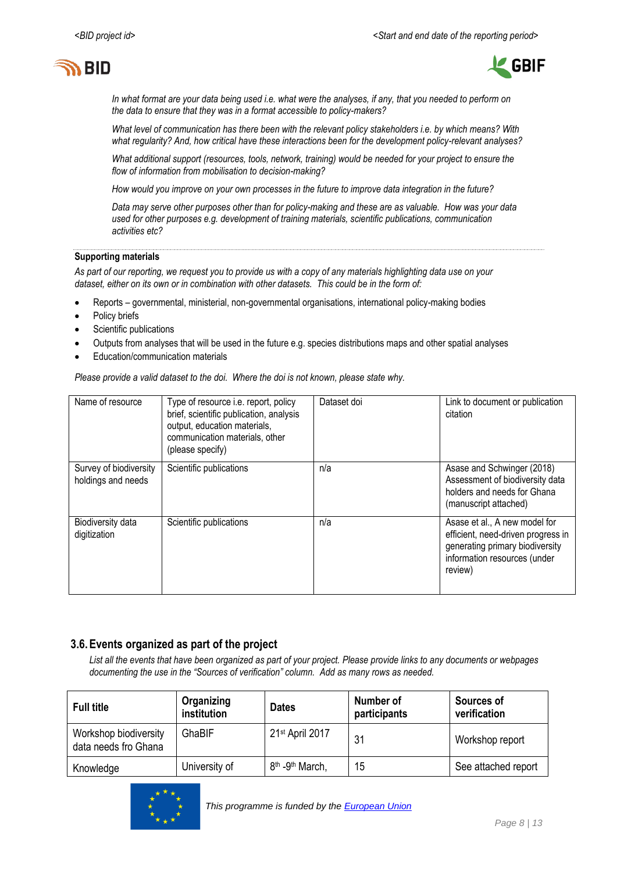



*In what format are your data being used i.e. what were the analyses, if any, that you needed to perform on the data to ensure that they was in a format accessible to policy-makers?* 

*What level of communication has there been with the relevant policy stakeholders i.e. by which means? With what regularity? And, how critical have these interactions been for the development policy-relevant analyses?* 

*What additional support (resources, tools, network, training) would be needed for your project to ensure the flow of information from mobilisation to decision-making?* 

*How would you improve on your own processes in the future to improve data integration in the future?* 

*Data may serve other purposes other than for policy-making and these are as valuable. How was your data used for other purposes e.g. development of training materials, scientific publications, communication activities etc?*

#### **Supporting materials**

*As part of our reporting, we request you to provide us with a copy of any materials highlighting data use on your dataset, either on its own or in combination with other datasets. This could be in the form of:*

- Reports governmental, ministerial, non-governmental organisations, international policy-making bodies
- Policy briefs
- Scientific publications
- Outputs from analyses that will be used in the future e.g. species distributions maps and other spatial analyses
- Education/communication materials

*Please provide a valid dataset to the doi. Where the doi is not known, please state why.*

| Name of resource                             | Type of resource i.e. report, policy<br>brief, scientific publication, analysis<br>output, education materials,<br>communication materials, other<br>(please specify) | Dataset doi | Link to document or publication<br>citation                                                                                                       |
|----------------------------------------------|-----------------------------------------------------------------------------------------------------------------------------------------------------------------------|-------------|---------------------------------------------------------------------------------------------------------------------------------------------------|
| Survey of biodiversity<br>holdings and needs | Scientific publications                                                                                                                                               | n/a         | Asase and Schwinger (2018)<br>Assessment of biodiversity data<br>holders and needs for Ghana<br>(manuscript attached)                             |
| Biodiversity data<br>digitization            | Scientific publications                                                                                                                                               | n/a         | Asase et al., A new model for<br>efficient, need-driven progress in<br>generating primary biodiversity<br>information resources (under<br>review) |

#### **3.6.Events organized as part of the project**

*List all the events that have been organized as part of your project. Please provide links to any documents or webpages documenting the use in the "Sources of verification" column. Add as many rows as needed.*

| <b>Full title</b>                             | Organizing<br>institution | <b>Dates</b>                            | Number of<br>participants | Sources of<br>verification |
|-----------------------------------------------|---------------------------|-----------------------------------------|---------------------------|----------------------------|
| Workshop biodiversity<br>data needs fro Ghana | GhaBIF                    | 21st April 2017                         | 31                        | Workshop report            |
| Knowledge                                     | University of             | 8 <sup>th</sup> -9 <sup>th</sup> March, | 15                        | See attached report        |

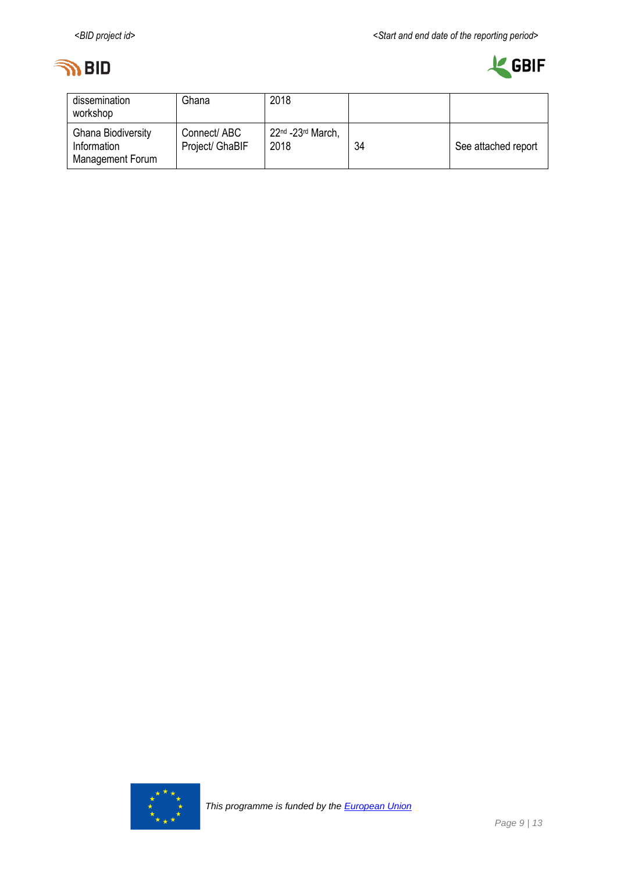



| dissemination<br>workshop                                    | Ghana                           | 2018                          |    |                     |
|--------------------------------------------------------------|---------------------------------|-------------------------------|----|---------------------|
| <b>Ghana Biodiversity</b><br>Information<br>Management Forum | Connect/ ABC<br>Project/ GhaBIF | $22nd - 23rd March$ .<br>2018 | 34 | See attached report |

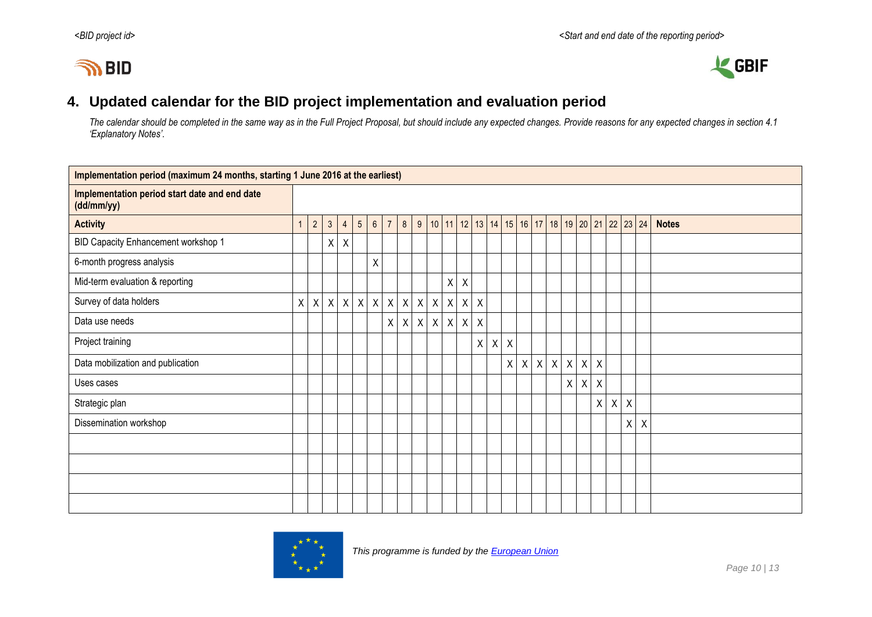# **IN BID**



## **4. Updated calendar for the BID project implementation and evaluation period**

*The calendar should be completed in the same way as in the Full Project Proposal, but should include any expected changes. Provide reasons for any expected changes in section 4.1 'Explanatory Notes'.*

<span id="page-9-0"></span>

| Implementation period (maximum 24 months, starting 1 June 2016 at the earliest) |  |             |                |                |                 |                 |                |              |              |              |         |              |                                                                          |              |                           |              |                  |              |              |              |              |             |         |              |
|---------------------------------------------------------------------------------|--|-------------|----------------|----------------|-----------------|-----------------|----------------|--------------|--------------|--------------|---------|--------------|--------------------------------------------------------------------------|--------------|---------------------------|--------------|------------------|--------------|--------------|--------------|--------------|-------------|---------|--------------|
| Implementation period start date and end date<br>(dd/mm/yy)                     |  |             |                |                |                 |                 |                |              |              |              |         |              |                                                                          |              |                           |              |                  |              |              |              |              |             |         |              |
| <b>Activity</b>                                                                 |  | $2^{\circ}$ | 3 <sup>1</sup> | $\overline{4}$ | $5\overline{)}$ | $6\overline{6}$ | $\overline{7}$ | 8            | 9            |              |         |              | 10   11   12   13   14   15   16   17   18   19   20   21   22   23   24 |              |                           |              |                  |              |              |              |              |             |         | <b>Notes</b> |
| BID Capacity Enhancement workshop 1                                             |  |             | $\mathsf{X}$   | $\sf X$        |                 |                 |                |              |              |              |         |              |                                                                          |              |                           |              |                  |              |              |              |              |             |         |              |
| 6-month progress analysis                                                       |  |             |                |                |                 | Χ               |                |              |              |              |         |              |                                                                          |              |                           |              |                  |              |              |              |              |             |         |              |
| Mid-term evaluation & reporting                                                 |  |             |                |                |                 |                 |                |              |              |              | $X$ $X$ |              |                                                                          |              |                           |              |                  |              |              |              |              |             |         |              |
| Survey of data holders                                                          |  | $X$ $X$     |                |                | $X$ $X$ $X$     | $\mathsf{X}$    | X              | $\mathsf{X}$ | $\mathsf{X}$ | $\mathsf{X}$ | $X$ $X$ | $\mathsf{X}$ |                                                                          |              |                           |              |                  |              |              |              |              |             |         |              |
| Data use needs                                                                  |  |             |                |                |                 |                 | $\mathsf{X}$   | X            | $\mathsf{X}$ | $\mathsf{X}$ | $X$ $X$ | $\mathsf{X}$ |                                                                          |              |                           |              |                  |              |              |              |              |             |         |              |
| Project training                                                                |  |             |                |                |                 |                 |                |              |              |              |         | X            | X                                                                        | $\mathsf{X}$ |                           |              |                  |              |              |              |              |             |         |              |
| Data mobilization and publication                                               |  |             |                |                |                 |                 |                |              |              |              |         |              |                                                                          | $\mathsf{X}$ | $\boldsymbol{\mathsf{X}}$ | $\mathsf{X}$ | $\boldsymbol{X}$ | $\mathsf{X}$ | $\mathsf{X}$ | $\mathsf{X}$ |              |             |         |              |
| Uses cases                                                                      |  |             |                |                |                 |                 |                |              |              |              |         |              |                                                                          |              |                           |              |                  |              | $X$ $X$      | $\mathsf X$  |              |             |         |              |
| Strategic plan                                                                  |  |             |                |                |                 |                 |                |              |              |              |         |              |                                                                          |              |                           |              |                  |              |              | $\mathsf{X}$ | $\pmb{\chi}$ | $\mathsf X$ |         |              |
| Dissemination workshop                                                          |  |             |                |                |                 |                 |                |              |              |              |         |              |                                                                          |              |                           |              |                  |              |              |              |              | X           | $\sf X$ |              |
|                                                                                 |  |             |                |                |                 |                 |                |              |              |              |         |              |                                                                          |              |                           |              |                  |              |              |              |              |             |         |              |
|                                                                                 |  |             |                |                |                 |                 |                |              |              |              |         |              |                                                                          |              |                           |              |                  |              |              |              |              |             |         |              |
|                                                                                 |  |             |                |                |                 |                 |                |              |              |              |         |              |                                                                          |              |                           |              |                  |              |              |              |              |             |         |              |
|                                                                                 |  |             |                |                |                 |                 |                |              |              |              |         |              |                                                                          |              |                           |              |                  |              |              |              |              |             |         |              |

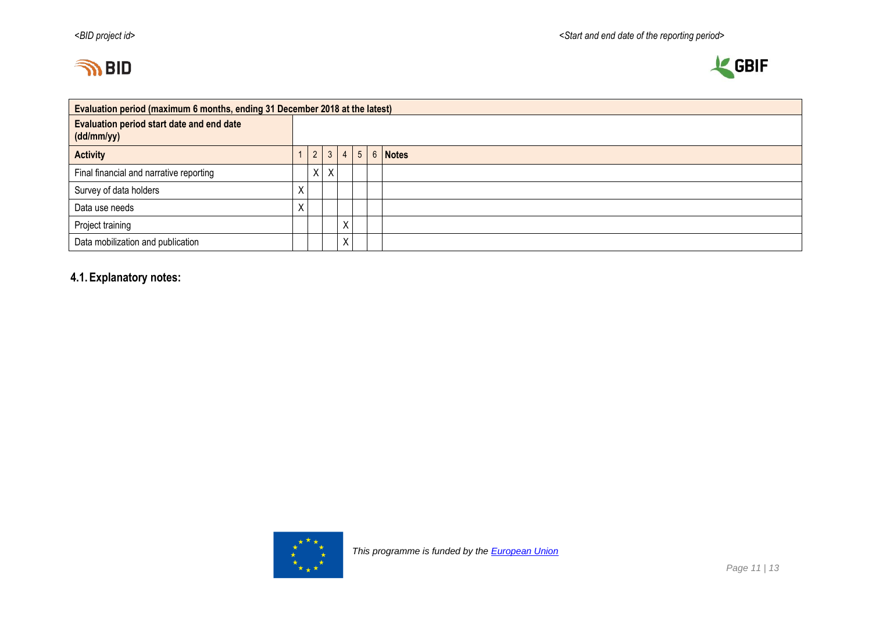



| Evaluation period (maximum 6 months, ending 31 December 2018 at the latest) |                            |                |              |                 |                |  |         |  |  |  |  |
|-----------------------------------------------------------------------------|----------------------------|----------------|--------------|-----------------|----------------|--|---------|--|--|--|--|
| <b>Evaluation period start date and end date</b><br>(dd/mm/yy)              |                            |                |              |                 |                |  |         |  |  |  |  |
| <b>Activity</b>                                                             |                            | 2 <sup>1</sup> | $\mathbf{3}$ | $\vert$ $\vert$ | 5 <sub>1</sub> |  | 6 Notes |  |  |  |  |
| Final financial and narrative reporting                                     |                            | X              | $\sf X$      |                 |                |  |         |  |  |  |  |
| Survey of data holders                                                      | $\sqrt{ }$                 |                |              |                 |                |  |         |  |  |  |  |
| Data use needs                                                              | $\mathbf{v}$<br>$\sqrt{ }$ |                |              |                 |                |  |         |  |  |  |  |
| Project training                                                            |                            |                |              | X               |                |  |         |  |  |  |  |
| Data mobilization and publication                                           |                            |                |              | X               |                |  |         |  |  |  |  |

# **4.1.Explanatory notes:**

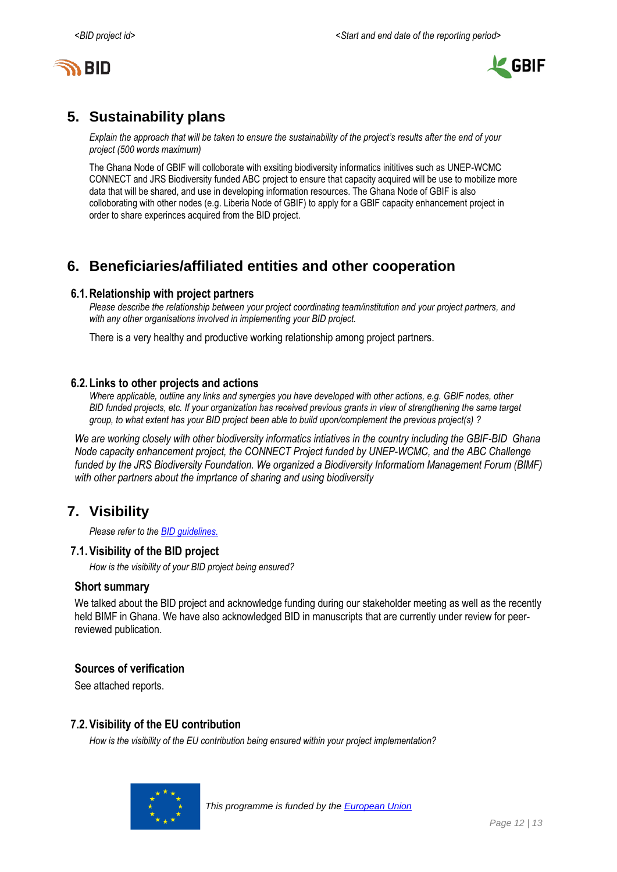



# <span id="page-11-0"></span>**5. Sustainability plans**

*Explain the approach that will be taken to ensure the sustainability of the project's results after the end of your project (500 words maximum)*

The Ghana Node of GBIF will colloborate with exsiting biodiversity informatics inititives such as UNEP-WCMC CONNECT and JRS Biodiversity funded ABC project to ensure that capacity acquired will be use to mobilize more data that will be shared, and use in developing information resources. The Ghana Node of GBIF is also colloborating with other nodes (e.g. Liberia Node of GBIF) to apply for a GBIF capacity enhancement project in order to share experinces acquired from the BID project.

# <span id="page-11-1"></span>**6. Beneficiaries/affiliated entities and other cooperation**

#### **6.1.Relationship with project partners**

*Please describe the relationship between your project coordinating team/institution and your project partners, and with any other organisations involved in implementing your BID project.*

There is a very healthy and productive working relationship among project partners.

#### **6.2.Links to other projects and actions**

*Where applicable, outline any links and synergies you have developed with other actions, e.g. GBIF nodes, other BID funded projects, etc. If your organization has received previous grants in view of strengthening the same target group, to what extent has your BID project been able to build upon/complement the previous project(s) ?*

*We are working closely with other biodiversity informatics intiatives in the country including the GBIF-BID Ghana Node capacity enhancement project, the CONNECT Project funded by UNEP-WCMC, and the ABC Challenge funded by the JRS Biodiversity Foundation. We organized a Biodiversity Informatiom Management Forum (BIMF) with other partners about the imprtance of sharing and using biodiversity*

# <span id="page-11-2"></span>**7. Visibility**

*Please refer to th[e BID guidelines.](http://bid.gbif.org/en/community/communication-guidelines/)*

#### **7.1.Visibility of the BID project**

*How is the visibility of your BID project being ensured?*

#### **Short summary**

We talked about the BID project and acknowledge funding during our stakeholder meeting as well as the recently held BIMF in Ghana. We have also acknowledged BID in manuscripts that are currently under review for peerreviewed publication.

#### **Sources of verification**

See attached reports.

#### **7.2.Visibility of the EU contribution**

*How is the visibility of the EU contribution being ensured within your project implementation?*